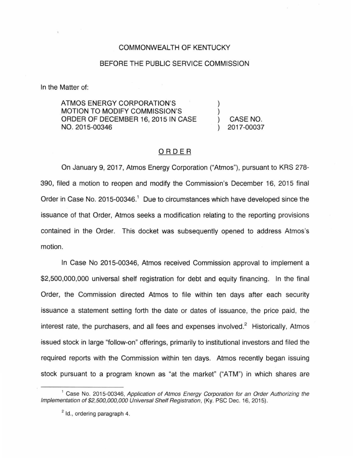## COMMONWEALTH OF KENTUCKY

## BEFORE THE PUBLIC SERVICE COMMISSION

In the Matter of:

ATMOS ENERGY CORPORATION'S MOTION TO MODIFY COMMISSION'S ORDER OF DECEMBER 16, 2015 IN CASE NO. 2015-00346

CASE NO. 2017-00037

## ORDER

On January 9, 2017, Atmos Energy Corporation ("Atmos"), pursuant to KRS 278- 390, filed a motion to reopen and modify the Commission's December 16, 2015 final Order in Case No. 2015-00346.<sup>1</sup> Due to circumstances which have developed since the issuance of that Order, Atmos seeks a modification relating to the reporting provisions contained in the Order. This docket was subsequently opened to address Atmos's motion.

In Case No 2015-00346, Atmos received Commission approval to implement a \$2,500,000,000 universal shelf registration for debt and equity financing. In the final Order, the Commission directed Atmos to file within ten days after each security issuance a statement setting forth the date or dates of issuance, the price paid, the interest rate, the purchasers, and all fees and expenses involved. $2$  Historically, Atmos issued stock in large "follow-on" offerings, primarily to institutional investors and filed the required reports with the Commission within ten days. Atmos recently began issuing stock pursuant to a program known as "at the market" ("ATM") in which shares are

<sup>&</sup>lt;sup>1</sup> Case No. 2015-00346, Application of Atmos Energy Corporation for an Order Authorizing the Implementation of \$2,500,000,000 Universal Shelf Registration, (Ky. PSC Dec. 16, 2015).

<sup>2</sup> ld., ordering paragraph 4.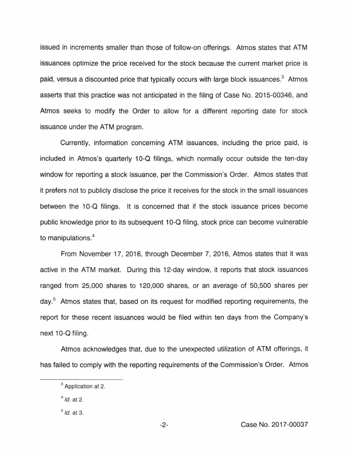issued in increments smaller than those of follow-on offerings. Atmos states that ATM issuances optimize the price received for the stock because the current market price is paid, versus a discounted price that typically occurs with large block issuances. $3$  Atmos asserts that this practice was not anticipated in the filing of Case No. 2015-00346, and Atmos seeks to modify the Order to allow for a different reporting date for stock issuance under the ATM program.

Currently, information concerning ATM issuances, including the price paid, is included in Atmos's quarterly 10-Q filings, which normally occur outside the ten-day window for reporting a stock issuance, per the Commission's Order. Atmos states that it prefers not to publicly disclose the price it receives for the stock in the small issuances between the 10-Q filings. It is concerned that if the stock issuance prices become public knowledge prior to its subsequent 10-Q filing, stock price can become vulnerable to manipulations. 4

From November 17, 2016, through December 7, 2016, Atmos states that it was active in the ATM market. During this 12-day window, it reports that stock issuances ranged from 25,000 shares to 120,000 shares, or an average of 50,500 shares per day.5 Atmos states that, based on its request for modified reporting requirements, the report for these recent issuances would be filed within ten days from the Company's next 10-Q filing.

Atmos acknowledges that, due to the unexpected utilization of ATM offerings, it has failed to comply with the reporting requirements of the Commission's Order. Atmos

<sup>&</sup>lt;sup>3</sup> Application at 2.

<sup>4</sup>*/d.* at 2.

<sup>5</sup>*/d.* at 3.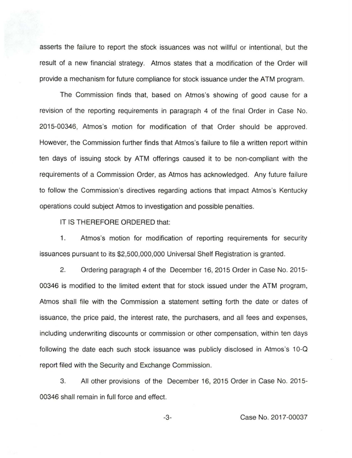asserts the failure to report the sfock issuances was not willful or intentional, but the result of a new financial strategy. Atmos states that a modification of the Order will provide a mechanism for future compliance for stock issuance under the ATM program.

The Commission finds that, based on Atmos's showing of good cause for a revision of the reporting requirements in paragraph 4 of the final Order in Case No. 2015-00346, Atmos's motion for modification of that Order should be approved. However, the Commission further finds that Atmos's failure to file a written report within ten days of issuing stock by ATM offerings caused it to be non-compliant with the requirements of a Commission Order, as Atmos has acknowledged. Any future failure to follow the Commission's directives regarding actions that impact Atmos's Kentucky operations could subject Atmos to investigation and possible penalties.

IT IS THEREFORE ORDERED that:

1. Atmos's motion for modification of reporting requirements for security issuances pursuant to its \$2,500,000,000 Universal Shelf Registration is granted.

2. Ordering paragraph 4 of the December 16, 2015 Order in Case No. 2015- 00346 is modified to the limited extent that for stock issued under the ATM program, Atmos shall file with the Commission a statement setting forth the date or dates of issuance, the price paid, the interest rate, the purchasers, and all fees and expenses, including underwriting discounts or commission or other compensation, within ten days following the date each such stock issuance was publicly disclosed in Atmos's 10-Q report filed with the Security and Exchange Commission.

3. All other provisions of the December 16, 2015 Order in Case No. 2015- 00346 shall remain in full force and effect.

-3- Case No. 2017-00037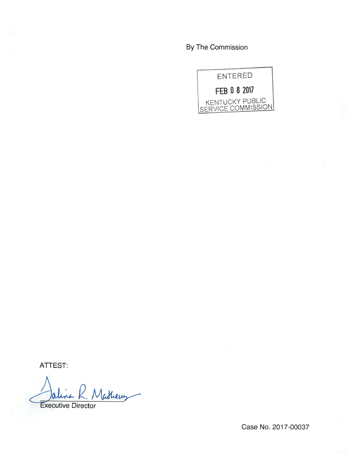By The Commission



ATTEST:

Jathery Executive Director

Case No. 2017-00037